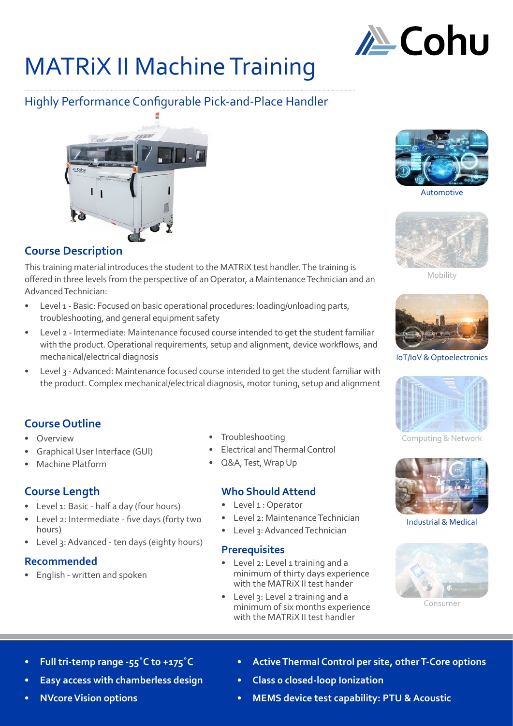

# MATRiX II Machine Training

# Highly Performance Configurable Pick-and-Place Handler



# **Course Description**

This training material introduces the student to the MATRiX test handler. The training is offered in three levels from the perspective of an Operator, a Maintenance Technician and an Advanced Technician:

- Level 1 Basic: Focused on basic operational procedures: loading/unloading parts, troubleshooting, and general equipment safety
- Level 2 Intermediate: Maintenance focused course intended to get the student familiar with the product. Operational requirements, setup and alignment, device workflows, and mechanical/electrical diagnosis
- Level 3 Advanced: Maintenance focused course intended to get the student familiar with the product. Complex mechanical/electrical diagnosis, motor tuning, setup and alignment

# **Course Outline**

- **Overview**
- Graphical User Interface (GUI)
- Machine Platform

# **Course Length**

- Level 1: Basic half a day (four hours)
- Level 2: Intermediate five days (forty two hours)
- Level 3: Advanced ten days (eighty hours)

## **Recommended**

• English - written and spoken

- **Troubleshooting**
- Electrical and Thermal Control
- Q&A, Test, Wrap Up

## **Who Should Attend**

- Level 1 : Operator
- Level 2: Maintenance Technician
- Level 3: Advanced Technician

## **Prerequisites**

- Level 2: Level 1 training and a minimum of thirty days experience with the MATRiX II test hander
- Level 3: Level 2 training and a minimum of six months experience with the MATRiX II test handler



Automotive



Mobility



IoT/IoV & Optoelectronics



Computing & Network



Industrial & Medical



Consumer

- **• Full tri-temp range -55˚C to +175˚C**
- **• Easy access with chamberless design**
- **• Active Thermal Control per site, other T-Core options**
- **• Class 0 closed-loop Ionization**
- **• MEMS device test capability: PTU & Acoustic**

**• NVcore Vision options**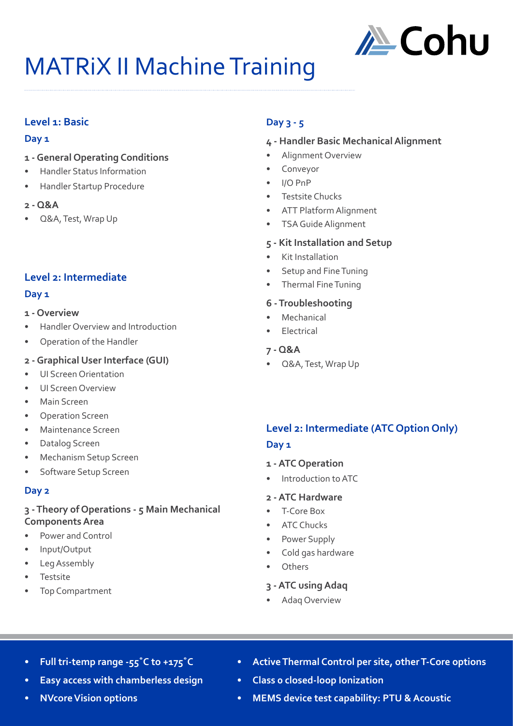

# MATRiX II Machine Training

## **Level 1: Basic**

#### **Day 1**

- **1 General Operating Conditions**
- Handler Status Information
- Handler Startup Procedure
- **2 Q&A**
- Q&A, Test, Wrap Up

# **Level 2: Intermediate**

#### **Day 1**

#### **1 - Overview**

- Handler Overview and Introduction
- Operation of the Handler

#### **2 - Graphical User Interface (GUI)**

- UI Screen Orientation
- UI Screen Overview
- Main Screen
- Operation Screen
- Maintenance Screen
- Datalog Screen
- Mechanism Setup Screen
- Software Setup Screen

#### **Day 2**

#### **3 - Theory of Operations - 5 Main Mechanical Components Area**

- Power and Control
- Input/Output
- Leg Assembly
- **Testsite**
- Top Compartment

# **Day 3 - 5**

#### **4 - Handler Basic Mechanical Alignment**

- Alignment Overview
- Conveyor
- I/O PnP
- Testsite Chucks
- ATT Platform Alignment
- TSA Guide Alignment

#### **5 - Kit Installation and Setup**

- Kit Installation
- Setup and Fine Tuning
- Thermal Fine Tuning

#### **6 - Troubleshooting**

- Mechanical
- **Electrical**

#### **7 - Q&A**

• Q&A, Test, Wrap Up

# **Level 2: Intermediate (ATC Option Only) Day 1**

#### **1 - ATC Operation**

• Introduction to ATC

#### **2 - ATC Hardware**

- T-Core Box
- ATC Chucks
- Power Supply
- Cold gas hardware
- Others

#### **3 - ATC using Adaq**

• Adaq Overview

- **• Full tri-temp range -55˚C to +175˚C**
- **• Easy access with chamberless design**
- **• NVcore Vision options**
- **• Active Thermal Control per site, other T-Core options**
- **• Class 0 closed-loop Ionization**
- **• MEMS device test capability: PTU & Acoustic**